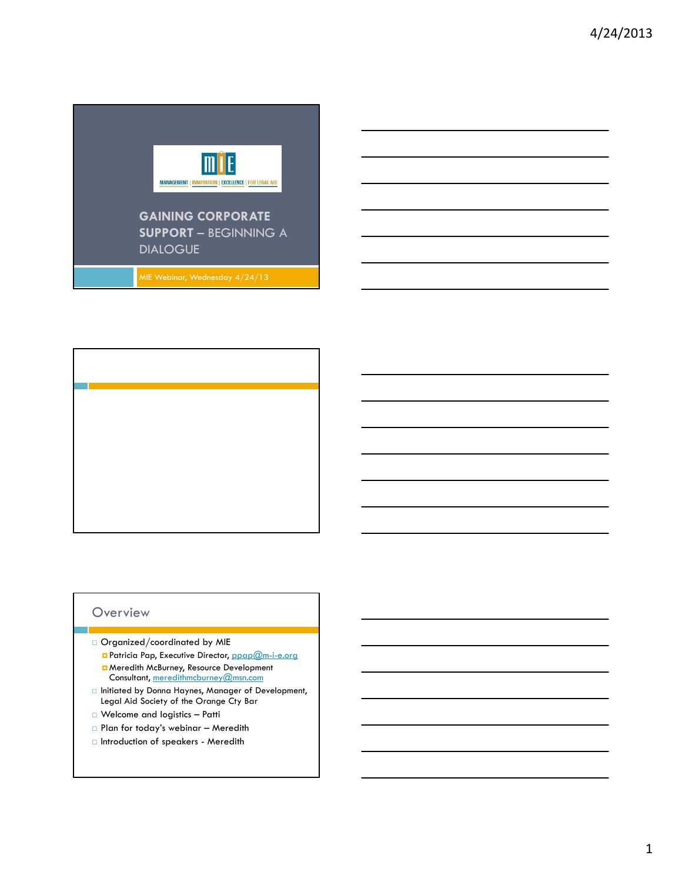

## **Overview**

- Organized/coordinated by MIE **Patricia Pap, Executive Director, ppap@m-i-e.org H** Meredith McBurney, Resource Development
- Consultant, meredithmcburney@msn.com  $\Box$  Initiated by Donna Haynes, Manager of Development, Legal Aid Society of the Orange Cty Bar
- □ Welcome and logistics Patti
- Plan for today's webinar Meredith
- Introduction of speakers Meredith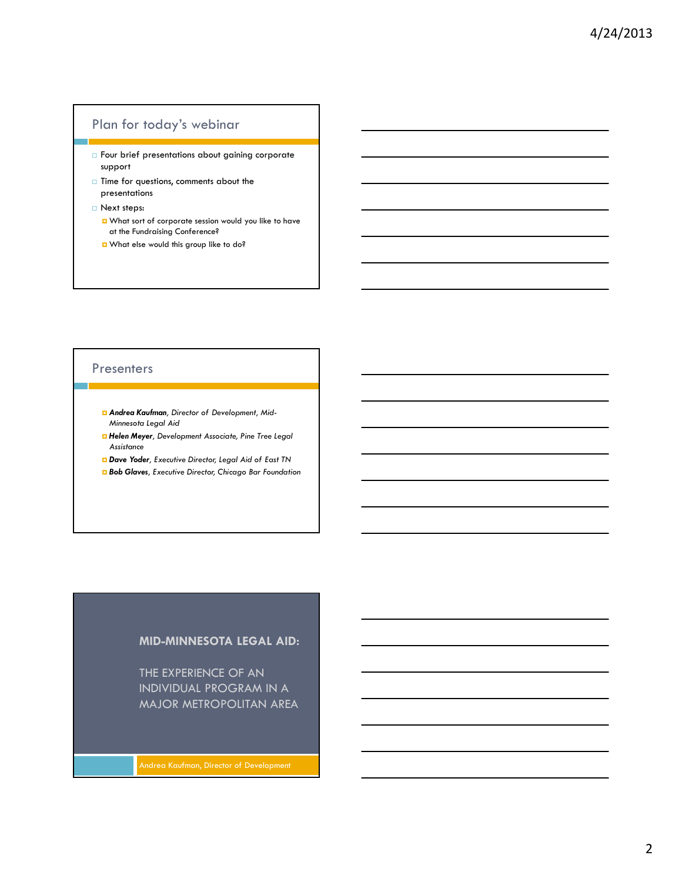## Plan for today's webinar

- **Four brief presentations about gaining corporate** support
- $\Box$  Time for questions, comments about the presentations
- Next steps:
	- What sort of corporate session would you like to have at the Fundraising Conference?
	- What else would this group like to do?

#### **Presenters**

- *Andrea Kaufman, Director of Development, Mid-Minnesota Legal Aid*
- *Helen Meyer, Development Associate, Pine Tree Legal Assistance*
- *Dave Yoder, Executive Director, Legal Aid of East TN*
- *Bob Glaves, Executive Director, Chicago Bar Foundation*

#### **MID-MINNESOTA LEGAL AID:**

THE EXPERIENCE OF AN INDIVIDUAL PROGRAM IN A MAJOR METROPOLITAN AREA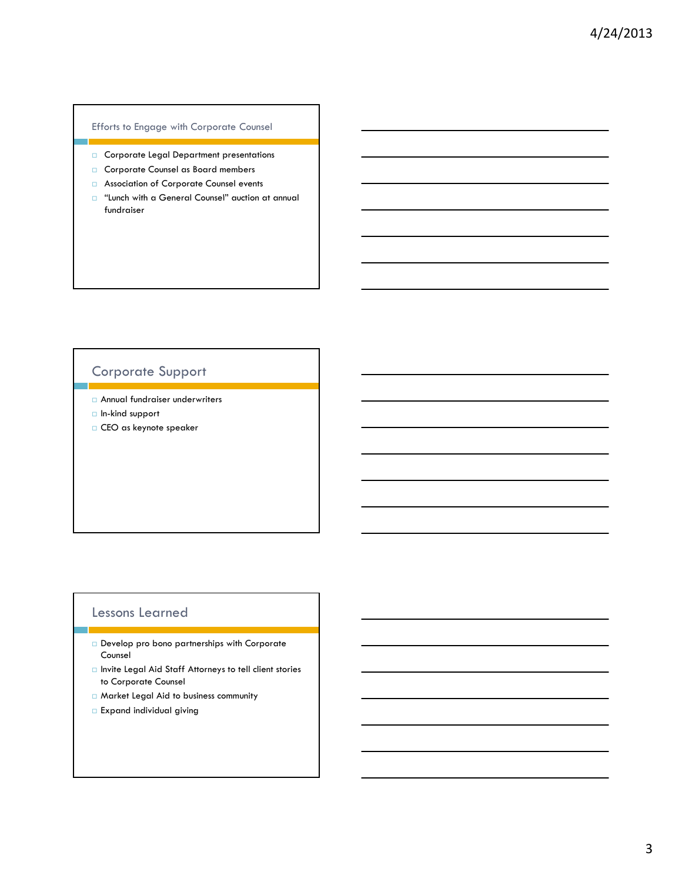#### Efforts to Engage with Corporate Counsel

- Corporate Legal Department presentations
- Corporate Counsel as Board members
- Association of Corporate Counsel events
- $\Box$  "Lunch with a General Counsel" auction at annual fundraiser

# Corporate Support

- Annual fundraiser underwriters
- $\Box$  In-kind support
- CEO as keynote speaker

## Lessons Learned

- Develop pro bono partnerships with Corporate Counsel
- □ Invite Legal Aid Staff Attorneys to tell client stories to Corporate Counsel
- Market Legal Aid to business community
- Expand individual giving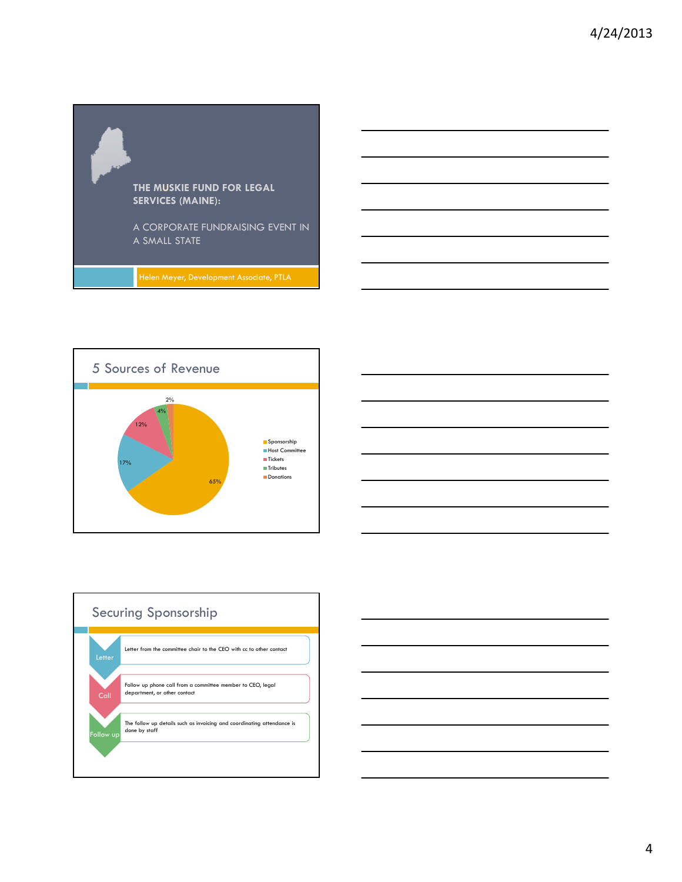







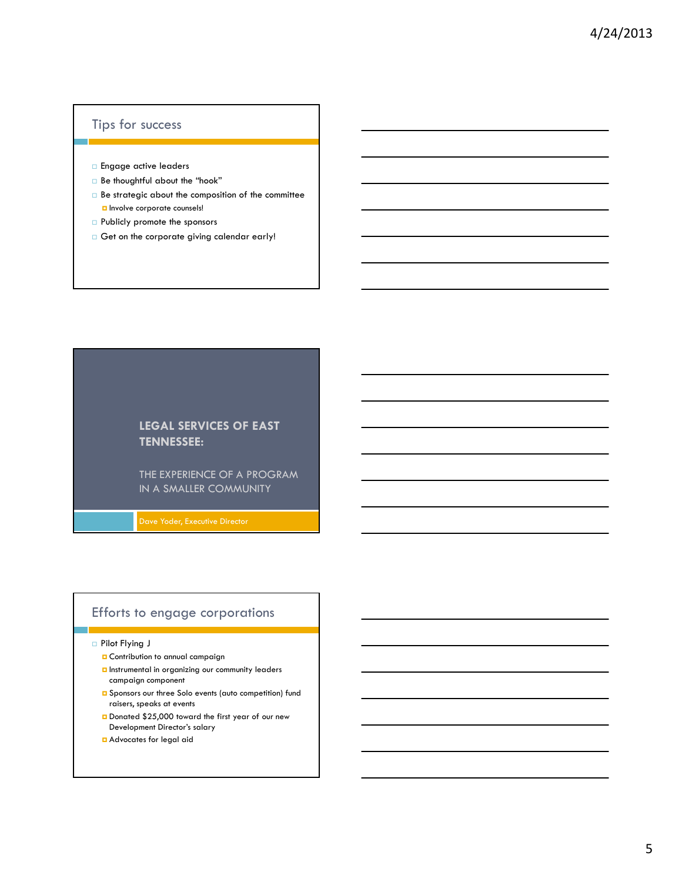## Tips for success

- **Engage active leaders**
- Be thoughtful about the "hook"
- $\Box$  Be strategic about the composition of the committee **D** Involve corporate counsels!
- **Publicly promote the sponsors**
- $\Box$  Get on the corporate giving calendar early!

## **LEGAL SERVICES OF EAST TENNESSEE:**

THE EXPERIENCE OF A PROGRAM IN A SMALLER COMMUNITY

## Efforts to engage corporations

#### Pilot Flying J

- **Q** Contribution to annual campaign
- **D** Instrumental in organizing our community leaders campaign component
- **Q** Sponsors our three Solo events (auto competition) fund raisers, speaks at events
- Donated \$25,000 toward the first year of our new Development Director's salary
- Advocates for legal aid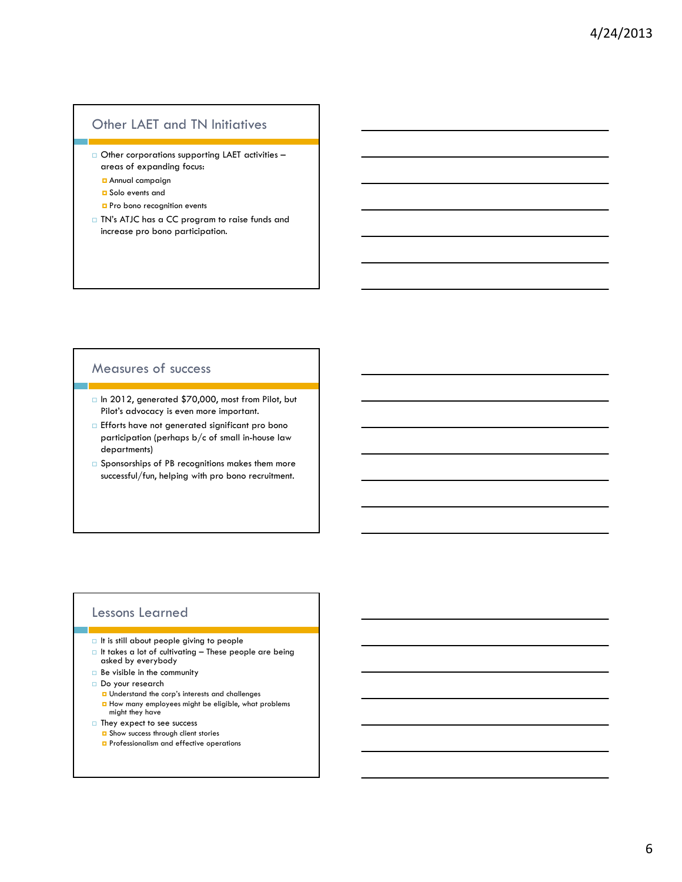## Other LAET and TN Initiatives

- Other corporations supporting LAET activities areas of expanding focus:
	- Annual campaign
	- **D** Solo events and
	- **Pro bono recognition events**
- TN's ATJC has a CC program to raise funds and increase pro bono participation.

# Measures of success

- In 2012, generated \$70,000, most from Pilot, but Pilot's advocacy is even more important.
- **Efforts have not generated significant pro bono** participation (perhaps  $b/c$  of small in-house law departments)
- $\square$  Sponsorships of PB recognitions makes them more successful/fun, helping with pro bono recruitment.

## Lessons Learned

- $\Box$  It is still about people giving to people
- $\Box$  It takes a lot of cultivating These people are being asked by everybody
- Be visible in the community
- Do your research
	- **u** Understand the corp's interests and challenges  $\blacksquare$  How many employees might be eligible, what problems might they have
- □ They expect to see success
	- B Show success through client stories
	- **P** Professionalism and effective operations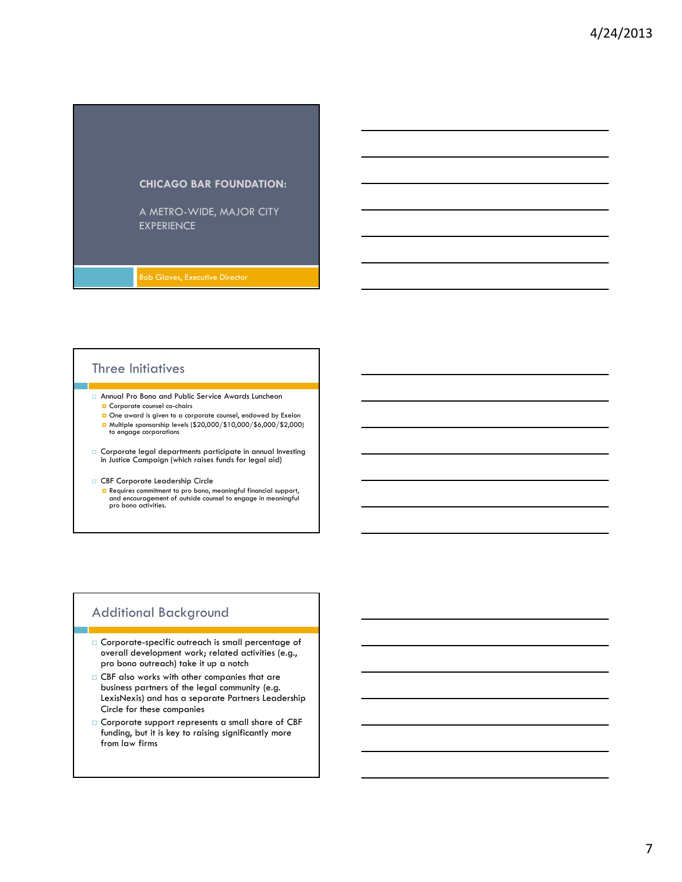

## Three Initiatives

- Annual Pro Bono and Public Service Awards Luncheon **D** Corporate counsel co-chairs
	- One award is given to a corporate counsel, endowed by Exelon ■ Multiple sponsorship levels (\$20,000/\$10,000/\$6,000/\$2,000) to engage corporations
- Corporate legal departments participate in annual Investing in Justice Campaign (which raises funds for legal aid)
- CBF Corporate Leadership Circle
	- **n** Requires commitment to pro bono, meaningful financial support,<br>and encouragement of outside counsel to engage in meaningful<br>pro bono activities.

## Additional Background

- Corporate-specific outreach is small percentage of overall development work; related activities (e.g., pro bono outreach) take it up a notch
- CBF also works with other companies that are business partners of the legal community (e.g. LexisNexis) and has a separate Partners Leadership Circle for these companies
- Corporate support represents a small share of CBF funding, but it is key to raising significantly more from law firms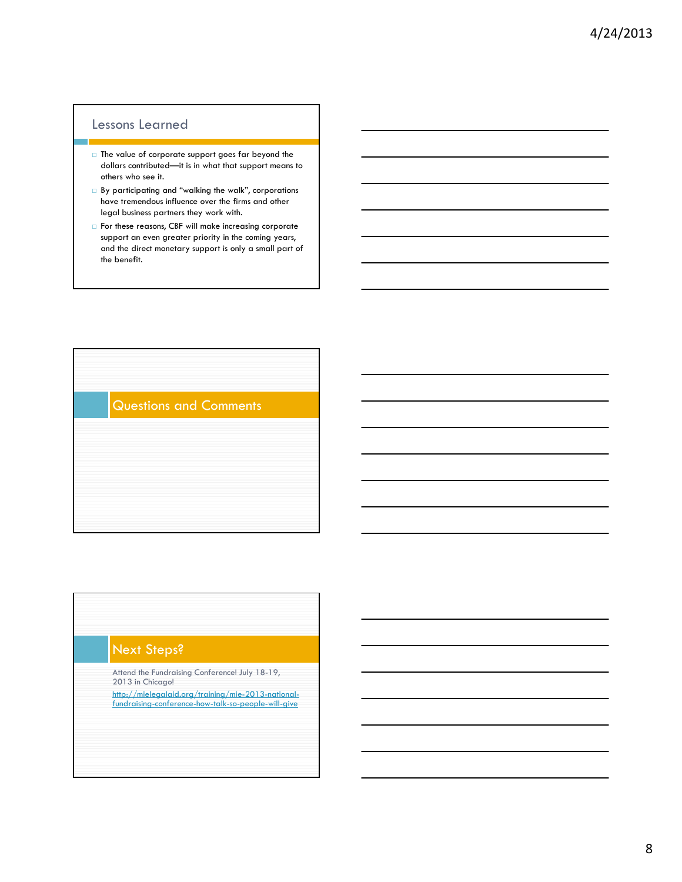## Lessons Learned

- $\Box$  The value of corporate support goes far beyond the dollars contributed—it is in what that support means to others who see it.
- By participating and "walking the walk", corporations have tremendous influence over the firms and other legal business partners they work with.
- For these reasons, CBF will make increasing corporate support an even greater priority in the coming years, and the direct monetary support is only a small part of the benefit.

Questions and Comments

## Next Steps?

- Attend the Fundraising Conference! July 18-19, 2013 in Chicago!
- http://mielegalaid.org/training/mie-2013-nationalfundraising-conference-how-talk-so-people-will-give